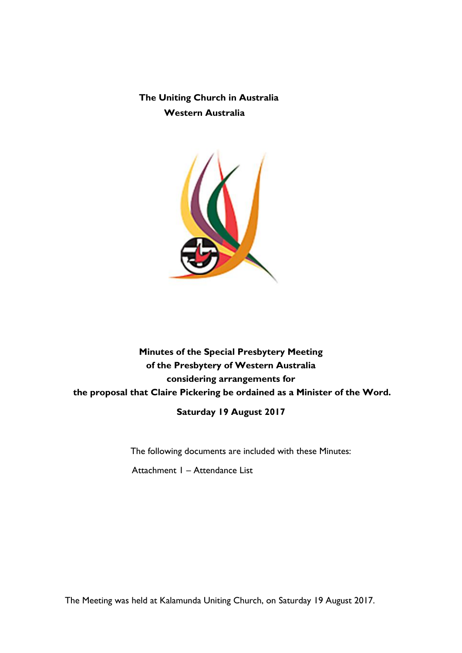**The Uniting Church in Australia Western Australia**



# **Minutes of the Special Presbytery Meeting of the Presbytery of Western Australia considering arrangements for the proposal that Claire Pickering be ordained as a Minister of the Word.**

**Saturday 19 August 2017**

The following documents are included with these Minutes:

Attachment 1 – Attendance List

The Meeting was held at Kalamunda Uniting Church, on Saturday 19 August 2017.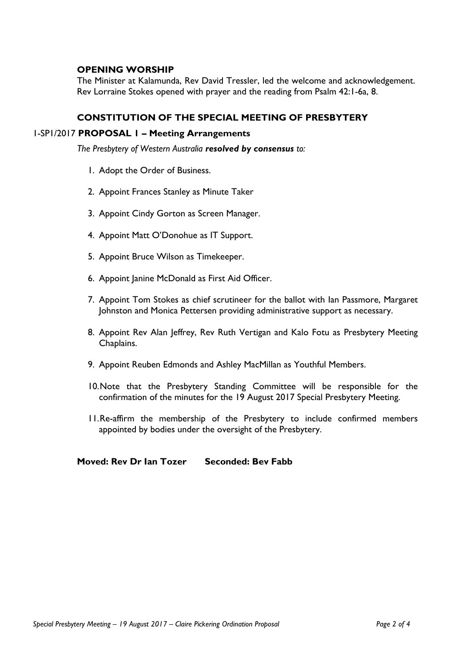## **OPENING WORSHIP**

The Minister at Kalamunda, Rev David Tressler, led the welcome and acknowledgement. Rev Lorraine Stokes opened with prayer and the reading from Psalm 42:1-6a, 8.

## **CONSTITUTION OF THE SPECIAL MEETING OF PRESBYTERY**

#### 1-SP1/2017 **PROPOSAL 1 – Meeting Arrangements**

*The Presbytery of Western Australia resolved by consensus to:*

- 1. Adopt the Order of Business.
- 2. Appoint Frances Stanley as Minute Taker
- 3. Appoint Cindy Gorton as Screen Manager.
- 4. Appoint Matt O'Donohue as IT Support.
- 5. Appoint Bruce Wilson as Timekeeper.
- 6. Appoint Janine McDonald as First Aid Officer.
- 7. Appoint Tom Stokes as chief scrutineer for the ballot with Ian Passmore, Margaret Johnston and Monica Pettersen providing administrative support as necessary.
- 8. Appoint Rev Alan Jeffrey, Rev Ruth Vertigan and Kalo Fotu as Presbytery Meeting Chaplains.
- 9. Appoint Reuben Edmonds and Ashley MacMillan as Youthful Members.
- 10.Note that the Presbytery Standing Committee will be responsible for the confirmation of the minutes for the 19 August 2017 Special Presbytery Meeting.
- 11.Re-affirm the membership of the Presbytery to include confirmed members appointed by bodies under the oversight of the Presbytery.

## **Moved: Rev Dr Ian Tozer Seconded: Bev Fabb**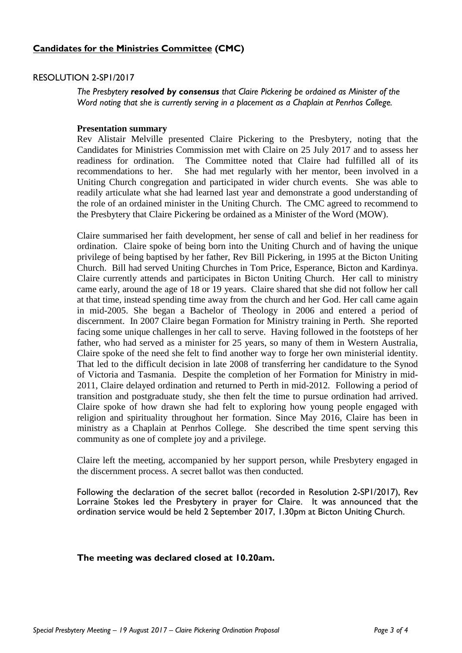# **Candidates for the Ministries Committee (CMC)**

## RESOLUTION 2-SP1/2017

*The Presbytery resolved by consensus that Claire Pickering be ordained as Minister of the Word noting that she is currently serving in a placement as a Chaplain at Penrhos College.*

### **Presentation summary**

Rev Alistair Melville presented Claire Pickering to the Presbytery, noting that the Candidates for Ministries Commission met with Claire on 25 July 2017 and to assess her readiness for ordination. The Committee noted that Claire had fulfilled all of its recommendations to her. She had met regularly with her mentor, been involved in a Uniting Church congregation and participated in wider church events. She was able to readily articulate what she had learned last year and demonstrate a good understanding of the role of an ordained minister in the Uniting Church. The CMC agreed to recommend to the Presbytery that Claire Pickering be ordained as a Minister of the Word (MOW).

Claire summarised her faith development, her sense of call and belief in her readiness for ordination. Claire spoke of being born into the Uniting Church and of having the unique privilege of being baptised by her father, Rev Bill Pickering, in 1995 at the Bicton Uniting Church. Bill had served Uniting Churches in Tom Price, Esperance, Bicton and Kardinya. Claire currently attends and participates in Bicton Uniting Church. Her call to ministry came early, around the age of 18 or 19 years. Claire shared that she did not follow her call at that time, instead spending time away from the church and her God. Her call came again in mid-2005. She began a Bachelor of Theology in 2006 and entered a period of discernment. In 2007 Claire began Formation for Ministry training in Perth. She reported facing some unique challenges in her call to serve. Having followed in the footsteps of her father, who had served as a minister for 25 years, so many of them in Western Australia, Claire spoke of the need she felt to find another way to forge her own ministerial identity. That led to the difficult decision in late 2008 of transferring her candidature to the Synod of Victoria and Tasmania. Despite the completion of her Formation for Ministry in mid-2011, Claire delayed ordination and returned to Perth in mid-2012. Following a period of transition and postgraduate study, she then felt the time to pursue ordination had arrived. Claire spoke of how drawn she had felt to exploring how young people engaged with religion and spirituality throughout her formation. Since May 2016, Claire has been in ministry as a Chaplain at Penrhos College. She described the time spent serving this community as one of complete joy and a privilege.

Claire left the meeting, accompanied by her support person, while Presbytery engaged in the discernment process. A secret ballot was then conducted.

Following the declaration of the secret ballot (recorded in Resolution 2-SP1/2017), Rev Lorraine Stokes led the Presbytery in prayer for Claire. It was announced that the ordination service would be held 2 September 2017, 1.30pm at Bicton Uniting Church.

### **The meeting was declared closed at 10.20am.**